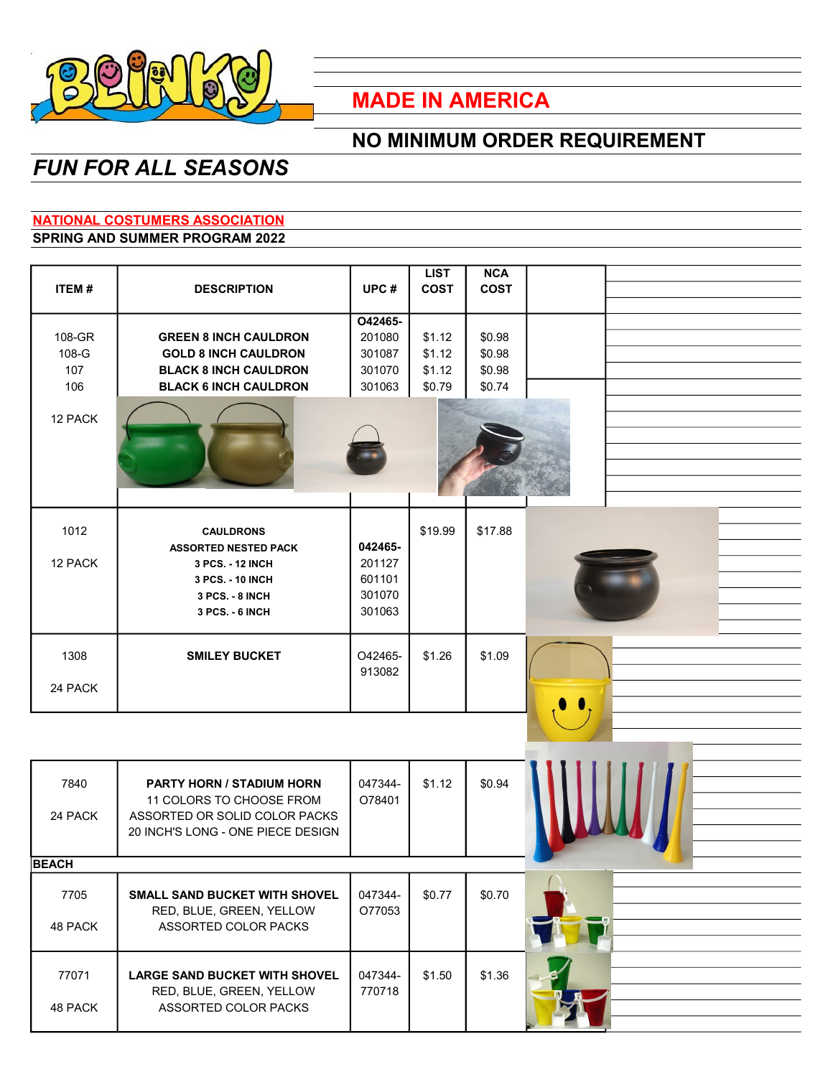

## **MADE IN AMERICA**

## **NO MINIMUM ORDER REQUIREMENT**

# *FUN FOR ALL SEASONS*

### **NATIONAL COSTUMERS ASSOCIATION**

#### **SPRING AND SUMMER PROGRAM 2022**

|              |                                      |         | <b>LIST</b> | <b>NCA</b>  |  |
|--------------|--------------------------------------|---------|-------------|-------------|--|
| ITEM#        | <b>DESCRIPTION</b>                   | UPC#    | <b>COST</b> | <b>COST</b> |  |
|              |                                      |         |             |             |  |
|              |                                      | O42465- |             |             |  |
| 108-GR       | <b>GREEN 8 INCH CAULDRON</b>         | 201080  | \$1.12      | \$0.98      |  |
| 108-G        | <b>GOLD 8 INCH CAULDRON</b>          | 301087  | \$1.12      | \$0.98      |  |
| 107          | <b>BLACK 8 INCH CAULDRON</b>         | 301070  | \$1.12      | \$0.98      |  |
| 106          | <b>BLACK 6 INCH CAULDRON</b>         | 301063  | \$0.79      | \$0.74      |  |
|              |                                      |         |             |             |  |
| 12 PACK      |                                      |         |             |             |  |
|              |                                      |         |             |             |  |
|              |                                      |         |             |             |  |
|              |                                      |         |             |             |  |
|              |                                      |         |             |             |  |
|              |                                      |         |             |             |  |
|              |                                      |         |             |             |  |
| 1012         | <b>CAULDRONS</b>                     |         | \$19.99     | \$17.88     |  |
|              | <b>ASSORTED NESTED PACK</b>          | 042465- |             |             |  |
| 12 PACK      |                                      | 201127  |             |             |  |
|              | 3 PCS. - 12 INCH                     |         |             |             |  |
|              | 3 PCS. - 10 INCH                     | 601101  |             |             |  |
|              | 3 PCS. - 8 INCH                      | 301070  |             |             |  |
|              | 3 PCS. - 6 INCH                      | 301063  |             |             |  |
|              |                                      |         |             |             |  |
| 1308         | <b>SMILEY BUCKET</b>                 | O42465- | \$1.26      | \$1.09      |  |
|              |                                      | 913082  |             |             |  |
| 24 PACK      |                                      |         |             |             |  |
|              |                                      |         |             |             |  |
|              |                                      |         |             |             |  |
|              |                                      |         |             |             |  |
|              |                                      |         |             |             |  |
|              |                                      |         |             |             |  |
|              |                                      |         |             |             |  |
| 7840         | PARTY HORN / STADIUM HORN            | 047344- | \$1.12      | \$0.94      |  |
|              | 11 COLORS TO CHOOSE FROM             | O78401  |             |             |  |
| 24 PACK      | ASSORTED OR SOLID COLOR PACKS        |         |             |             |  |
|              | 20 INCH'S LONG - ONE PIECE DESIGN    |         |             |             |  |
|              |                                      |         |             |             |  |
| <b>BEACH</b> |                                      |         |             |             |  |
|              |                                      |         |             |             |  |
| 7705         | <b>SMALL SAND BUCKET WITH SHOVEL</b> | 047344- | \$0.77      | \$0.70      |  |
|              | RED, BLUE, GREEN, YELLOW             | O77053  |             |             |  |
| 48 PACK      | ASSORTED COLOR PACKS                 |         |             |             |  |
|              |                                      |         |             |             |  |
|              |                                      |         |             |             |  |
| 77071        | <b>LARGE SAND BUCKET WITH SHOVEL</b> | 047344- | \$1.50      | \$1.36      |  |
|              | RED, BLUE, GREEN, YELLOW             | 770718  |             |             |  |
| 48 PACK      | ASSORTED COLOR PACKS                 |         |             |             |  |
|              |                                      |         |             |             |  |